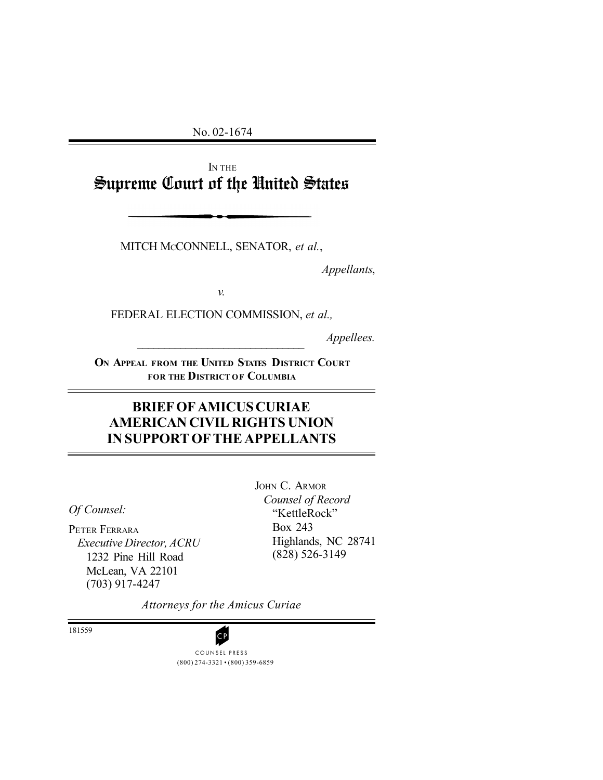No. 02-1674

IN THE Supreme Court of the United States

MITCH MCCONNELL, SENATOR, *et al.*,

*Appellants*,

*v.* 

FEDERAL ELECTION COMMISSION, *et al.,* 

*Appellees.* 

**ON APPEAL FROM THE UNITED STATES DISTRICT COURT FOR THE DISTRICT OF COLUMBIA** 

# **BRIEF OF AMICUS CURIAE AMERICAN CIVIL RIGHTS UNION IN SUPPORT OF THE APPELLANTS**

*Of Counsel:* 

PETER FERRARA *Executive Director, ACRU*  1232 Pine Hill Road McLean, VA 22101 (703) 917-4247

JOHN C. ARMOR *Counsel of Record*  "KettleRock" Box 243 Highlands, NC 28741 (828) 526-3149

*Attorneys for the Amicus Curiae* 

181559

(800) 274-3321 • (800) 359-6859 **CP**<br>COUNSEL PRESS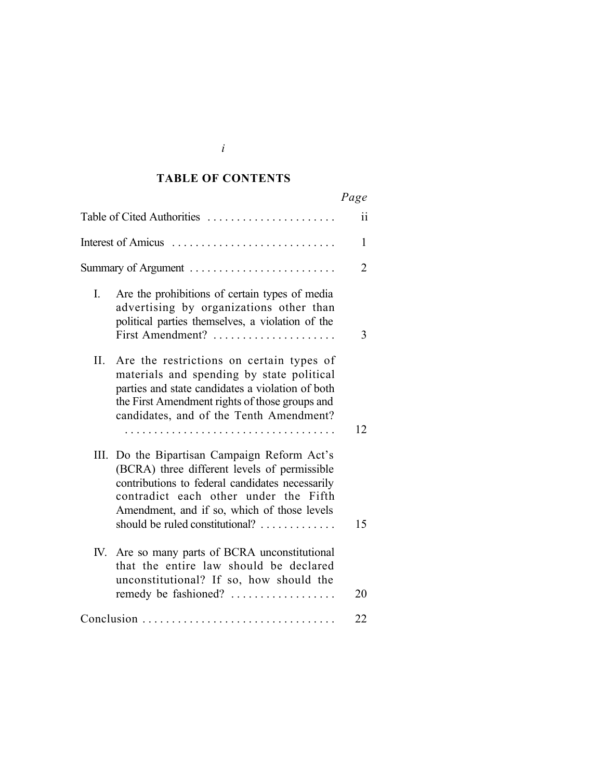## **TABLE OF CONTENTS**

|                                                                                                                                                                                                                                                                            | Page |
|----------------------------------------------------------------------------------------------------------------------------------------------------------------------------------------------------------------------------------------------------------------------------|------|
| Table of Cited Authorities                                                                                                                                                                                                                                                 | ii   |
| Interest of Amicus                                                                                                                                                                                                                                                         | 1    |
|                                                                                                                                                                                                                                                                            | 2    |
| Are the prohibitions of certain types of media<br>I.<br>advertising by organizations other than<br>political parties themselves, a violation of the<br>First Amendment?                                                                                                    | 3    |
| II.<br>Are the restrictions on certain types of<br>materials and spending by state political<br>parties and state candidates a violation of both<br>the First Amendment rights of those groups and<br>candidates, and of the Tenth Amendment?<br>.                         | 12   |
| III. Do the Bipartisan Campaign Reform Act's<br>(BCRA) three different levels of permissible<br>contributions to federal candidates necessarily<br>contradict each other under the Fifth<br>Amendment, and if so, which of those levels<br>should be ruled constitutional? | 15   |
| IV. Are so many parts of BCRA unconstitutional<br>that the entire law should be declared<br>unconstitutional? If so, how should the<br>remedy be fashioned?                                                                                                                | 20   |
| Conclusion                                                                                                                                                                                                                                                                 | 22   |

| I             |  |
|---------------|--|
| l             |  |
| ¢<br>۰.<br>۰. |  |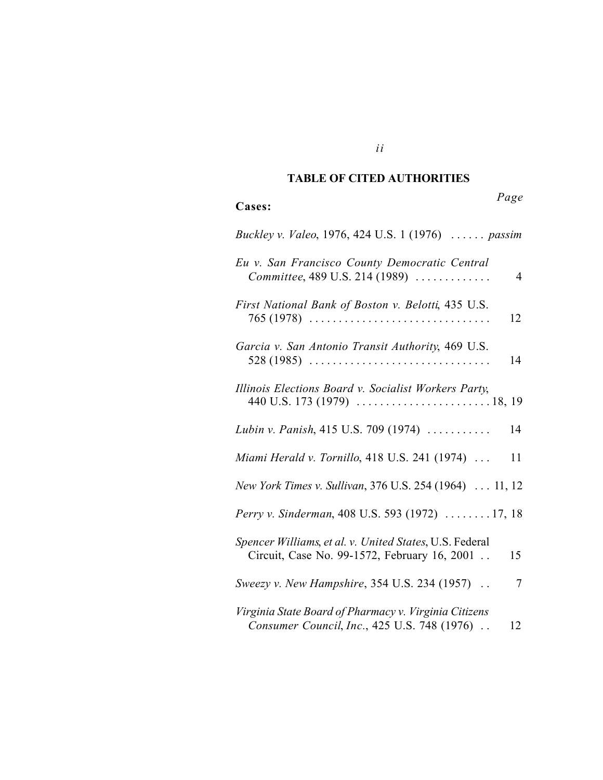# **TABLE OF CITED AUTHORITIES**

*Page* 

| Cases:                                                                                                  | 1 uge |
|---------------------------------------------------------------------------------------------------------|-------|
| Buckley v. Valeo, 1976, 424 U.S. 1 (1976)  passim                                                       |       |
| Eu v. San Francisco County Democratic Central<br>Committee, 489 U.S. 214 (1989)                         | 4     |
| First National Bank of Boston v. Belotti, 435 U.S.<br>$765(1978)$                                       | 12    |
| Garcia v. San Antonio Transit Authority, 469 U.S.<br>$528(1985)$                                        | 14    |
| Illinois Elections Board v. Socialist Workers Party,                                                    |       |
| Lubin v. Panish, 415 U.S. 709 (1974)                                                                    | 14    |
| Miami Herald v. Tornillo, 418 U.S. 241 (1974)                                                           | 11    |
| New York Times v. Sullivan, 376 U.S. 254 (1964)  11, 12                                                 |       |
| Perry v. Sinderman, 408 U.S. 593 (1972)  17, 18                                                         |       |
| Spencer Williams, et al. v. United States, U.S. Federal<br>Circuit, Case No. 99-1572, February 16, 2001 | 15    |
| Sweezy v. New Hampshire, 354 U.S. 234 (1957)                                                            | 7     |
| Virginia State Board of Pharmacy v. Virginia Citizens<br>Consumer Council, Inc., 425 U.S. 748 (1976).   | 12    |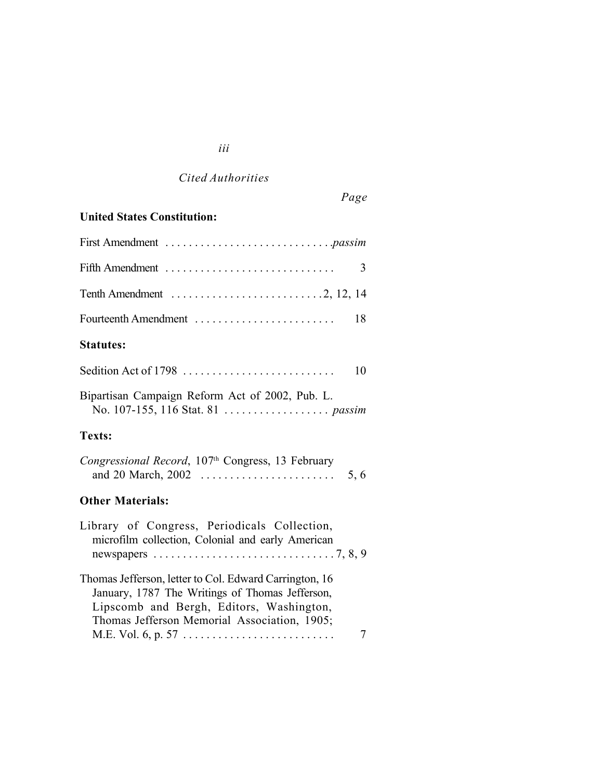# *Cited Authorities*

*iii* 

# *Page*

# **United States Constitution:**

| 3                                                                                                                                                                                                          |
|------------------------------------------------------------------------------------------------------------------------------------------------------------------------------------------------------------|
| Tenth Amendment $\dots \dots \dots \dots \dots \dots \dots \dots \dots \dots$ . 2, 12, 14                                                                                                                  |
| Fourteenth Amendment<br>18                                                                                                                                                                                 |
| <b>Statutes:</b>                                                                                                                                                                                           |
| Sedition Act of 1798<br>10                                                                                                                                                                                 |
| Bipartisan Campaign Reform Act of 2002, Pub. L.                                                                                                                                                            |
| Texts:                                                                                                                                                                                                     |
| Congressional Record, 107th Congress, 13 February<br>5, 6                                                                                                                                                  |
| <b>Other Materials:</b>                                                                                                                                                                                    |
| Library of Congress, Periodicals Collection,<br>microfilm collection, Colonial and early American<br>newspapers $\ldots \ldots \ldots \ldots \ldots \ldots \ldots \ldots \ldots \ldots \ldots$             |
| Thomas Jefferson, letter to Col. Edward Carrington, 16<br>January, 1787 The Writings of Thomas Jefferson,<br>Lipscomb and Bergh, Editors, Washington,<br>Thomas Jefferson Memorial Association, 1905;<br>7 |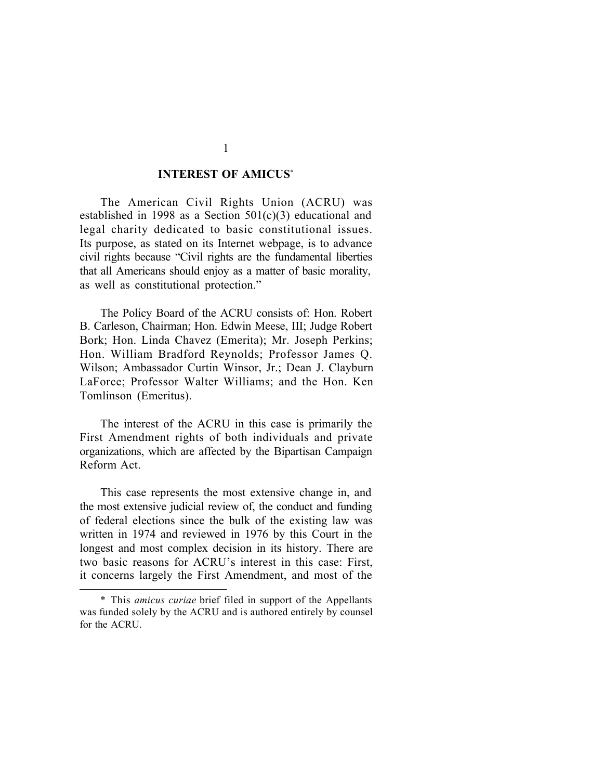#### **INTEREST OF AMICUS**\*

The American Civil Rights Union (ACRU) was established in 1998 as a Section 501(c)(3) educational and legal charity dedicated to basic constitutional issues. Its purpose, as stated on its Internet webpage, is to advance civil rights because "Civil rights are the fundamental liberties that all Americans should enjoy as a matter of basic morality, as well as constitutional protection."

The Policy Board of the ACRU consists of: Hon. Robert B. Carleson, Chairman; Hon. Edwin Meese, III; Judge Robert Bork; Hon. Linda Chavez (Emerita); Mr. Joseph Perkins; Hon. William Bradford Reynolds; Professor James Q. Wilson; Ambassador Curtin Winsor, Jr.; Dean J. Clayburn LaForce; Professor Walter Williams; and the Hon. Ken Tomlinson (Emeritus).

The interest of the ACRU in this case is primarily the First Amendment rights of both individuals and private organizations, which are affected by the Bipartisan Campaign Reform Act.

This case represents the most extensive change in, and the most extensive judicial review of, the conduct and funding of federal elections since the bulk of the existing law was written in 1974 and reviewed in 1976 by this Court in the longest and most complex decision in its history. There are two basic reasons for ACRU's interest in this case: First, it concerns largely the First Amendment, and most of the

<sup>\*</sup> This *amicus curiae* brief filed in support of the Appellants was funded solely by the ACRU and is authored entirely by counsel for the ACRU.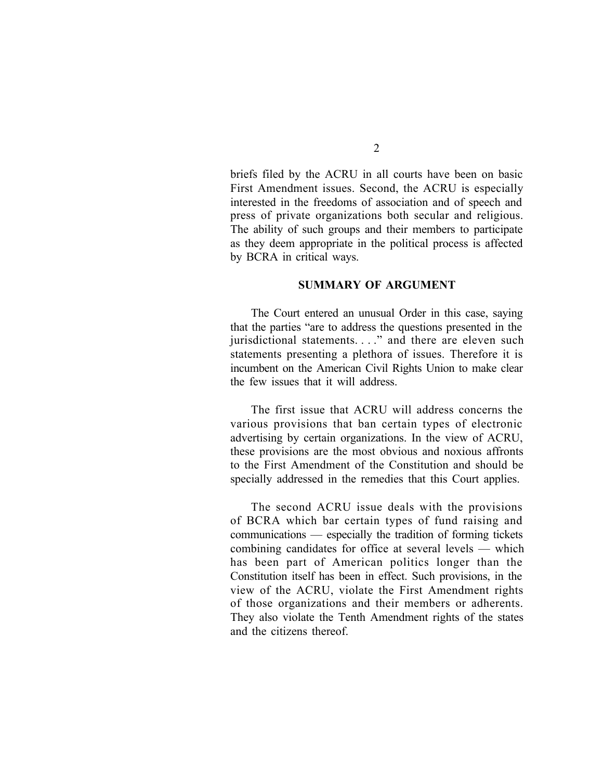briefs filed by the ACRU in all courts have been on basic First Amendment issues. Second, the ACRU is especially interested in the freedoms of association and of speech and press of private organizations both secular and religious. The ability of such groups and their members to participate as they deem appropriate in the political process is affected by BCRA in critical ways.

#### **SUMMARY OF ARGUMENT**

The Court entered an unusual Order in this case, saying that the parties "are to address the questions presented in the jurisdictional statements. . . ." and there are eleven such statements presenting a plethora of issues. Therefore it is incumbent on the American Civil Rights Union to make clear the few issues that it will address.

The first issue that ACRU will address concerns the various provisions that ban certain types of electronic advertising by certain organizations. In the view of ACRU, these provisions are the most obvious and noxious affronts to the First Amendment of the Constitution and should be specially addressed in the remedies that this Court applies.

The second ACRU issue deals with the provisions of BCRA which bar certain types of fund raising and communications — especially the tradition of forming tickets combining candidates for office at several levels — which has been part of American politics longer than the Constitution itself has been in effect. Such provisions, in the view of the ACRU, violate the First Amendment rights of those organizations and their members or adherents. They also violate the Tenth Amendment rights of the states and the citizens thereof.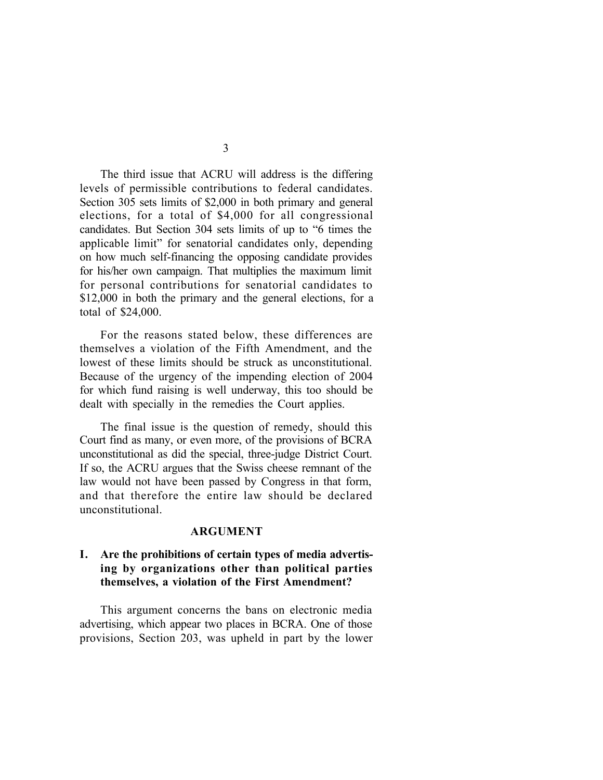The third issue that ACRU will address is the differing levels of permissible contributions to federal candidates. Section 305 sets limits of \$2,000 in both primary and general elections, for a total of \$4,000 for all congressional candidates. But Section 304 sets limits of up to "6 times the applicable limit" for senatorial candidates only, depending on how much self-financing the opposing candidate provides for his/her own campaign. That multiplies the maximum limit for personal contributions for senatorial candidates to \$12,000 in both the primary and the general elections, for a total of \$24,000.

For the reasons stated below, these differences are themselves a violation of the Fifth Amendment, and the lowest of these limits should be struck as unconstitutional. Because of the urgency of the impending election of 2004 for which fund raising is well underway, this too should be dealt with specially in the remedies the Court applies.

The final issue is the question of remedy, should this Court find as many, or even more, of the provisions of BCRA unconstitutional as did the special, three-judge District Court. If so, the ACRU argues that the Swiss cheese remnant of the law would not have been passed by Congress in that form, and that therefore the entire law should be declared unconstitutional.

#### **ARGUMENT**

## **I. Are the prohibitions of certain types of media advertising by organizations other than political parties themselves, a violation of the First Amendment?**

This argument concerns the bans on electronic media advertising, which appear two places in BCRA. One of those provisions, Section 203, was upheld in part by the lower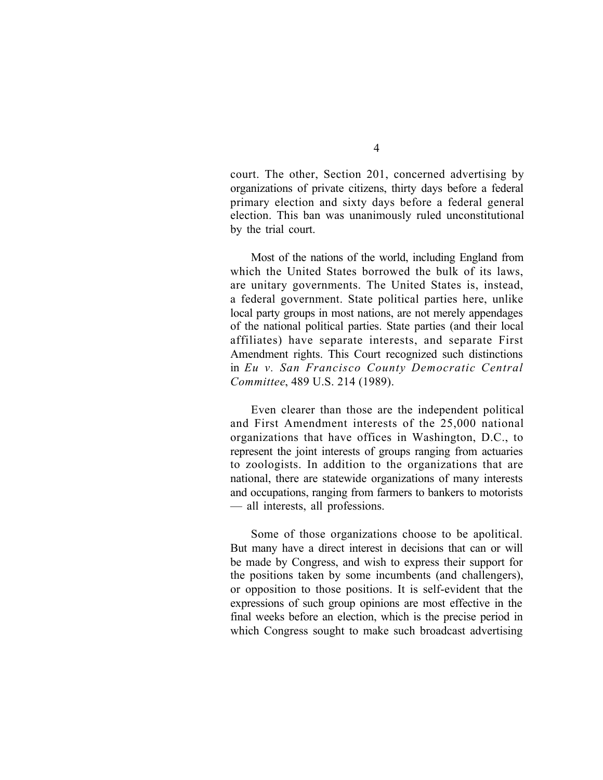court. The other, Section 201, concerned advertising by organizations of private citizens, thirty days before a federal primary election and sixty days before a federal general election. This ban was unanimously ruled unconstitutional by the trial court.

Most of the nations of the world, including England from which the United States borrowed the bulk of its laws, are unitary governments. The United States is, instead, a federal government. State political parties here, unlike local party groups in most nations, are not merely appendages of the national political parties. State parties (and their local affiliates) have separate interests, and separate First Amendment rights. This Court recognized such distinctions in *Eu v. San Francisco County Democratic Central Committee*, 489 U.S. 214 (1989).

Even clearer than those are the independent political and First Amendment interests of the 25,000 national organizations that have offices in Washington, D.C., to represent the joint interests of groups ranging from actuaries to zoologists. In addition to the organizations that are national, there are statewide organizations of many interests and occupations, ranging from farmers to bankers to motorists — all interests, all professions.

Some of those organizations choose to be apolitical. But many have a direct interest in decisions that can or will be made by Congress, and wish to express their support for the positions taken by some incumbents (and challengers), or opposition to those positions. It is self-evident that the expressions of such group opinions are most effective in the final weeks before an election, which is the precise period in which Congress sought to make such broadcast advertising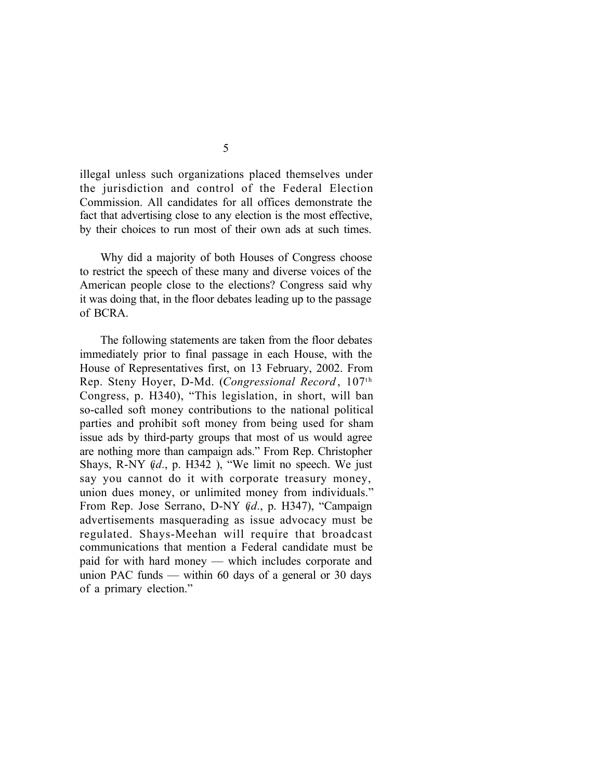illegal unless such organizations placed themselves under the jurisdiction and control of the Federal Election Commission. All candidates for all offices demonstrate the fact that advertising close to any election is the most effective, by their choices to run most of their own ads at such times.

Why did a majority of both Houses of Congress choose to restrict the speech of these many and diverse voices of the American people close to the elections? Congress said why it was doing that, in the floor debates leading up to the passage of BCRA.

The following statements are taken from the floor debates immediately prior to final passage in each House, with the House of Representatives first, on 13 February, 2002. From Rep. Steny Hoyer, D-Md. (*Congressional Record* , 107th Congress, p. H340), "This legislation, in short, will ban so-called soft money contributions to the national political parties and prohibit soft money from being used for sham issue ads by third-party groups that most of us would agree are nothing more than campaign ads." From Rep. Christopher Shays, R-NY (*id.*, p. H342 ), "We limit no speech. We just say you cannot do it with corporate treasury money, union dues money, or unlimited money from individuals." From Rep. Jose Serrano, D-NY (*id.*, p. H347), "Campaign advertisements masquerading as issue advocacy must be regulated. Shays-Meehan will require that broadcast communications that mention a Federal candidate must be paid for with hard money — which includes corporate and union PAC funds — within 60 days of a general or 30 days of a primary election."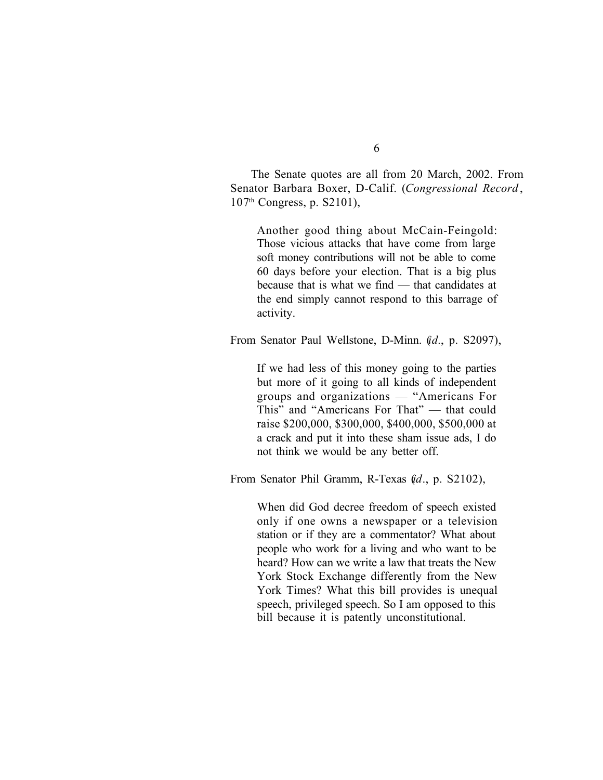The Senate quotes are all from 20 March, 2002. From Senator Barbara Boxer, D-Calif. (*Congressional Record* , 107th Congress, p. S2101),

Another good thing about McCain-Feingold: Those vicious attacks that have come from large soft money contributions will not be able to come 60 days before your election. That is a big plus because that is what we find — that candidates at the end simply cannot respond to this barrage of activity.

From Senator Paul Wellstone, D-Minn. (*id.*, p. S2097),

If we had less of this money going to the parties but more of it going to all kinds of independent groups and organizations — "Americans For This" and "Americans For That" — that could raise \$200,000, \$300,000, \$400,000, \$500,000 at a crack and put it into these sham issue ads, I do not think we would be any better off.

From Senator Phil Gramm, R-Texas (*id*., p. S2102),

When did God decree freedom of speech existed only if one owns a newspaper or a television station or if they are a commentator? What about people who work for a living and who want to be heard? How can we write a law that treats the New York Stock Exchange differently from the New York Times? What this bill provides is unequal speech, privileged speech. So I am opposed to this bill because it is patently unconstitutional.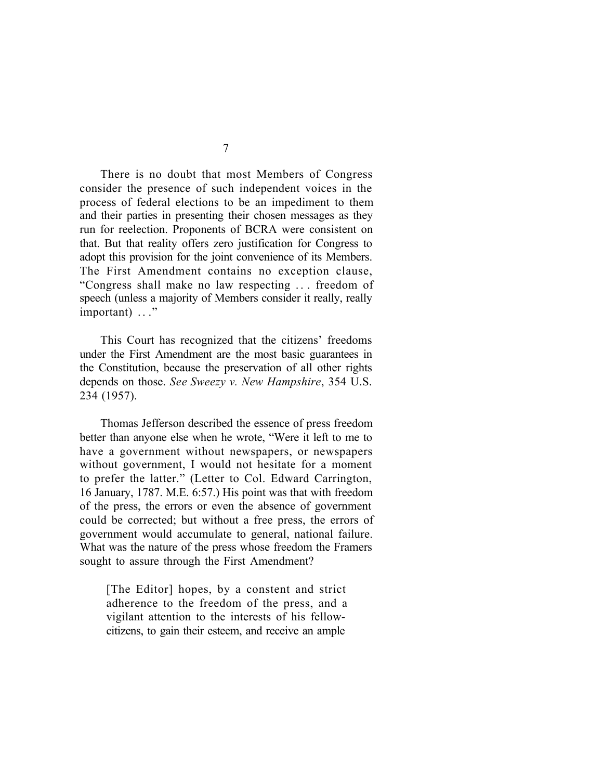There is no doubt that most Members of Congress consider the presence of such independent voices in the process of federal elections to be an impediment to them and their parties in presenting their chosen messages as they run for reelection. Proponents of BCRA were consistent on that. But that reality offers zero justification for Congress to adopt this provision for the joint convenience of its Members. The First Amendment contains no exception clause, "Congress shall make no law respecting . . . freedom of speech (unless a majority of Members consider it really, really important) ..."

This Court has recognized that the citizens' freedoms under the First Amendment are the most basic guarantees in the Constitution, because the preservation of all other rights depends on those. *See Sweezy v. New Hampshire*, 354 U.S. 234 (1957).

Thomas Jefferson described the essence of press freedom better than anyone else when he wrote, "Were it left to me to have a government without newspapers, or newspapers without government, I would not hesitate for a moment to prefer the latter." (Letter to Col. Edward Carrington, 16 January, 1787. M.E. 6:57.) His point was that with freedom of the press, the errors or even the absence of government could be corrected; but without a free press, the errors of government would accumulate to general, national failure. What was the nature of the press whose freedom the Framers sought to assure through the First Amendment?

[The Editor] hopes, by a constent and strict adherence to the freedom of the press, and a vigilant attention to the interests of his fellowcitizens, to gain their esteem, and receive an ample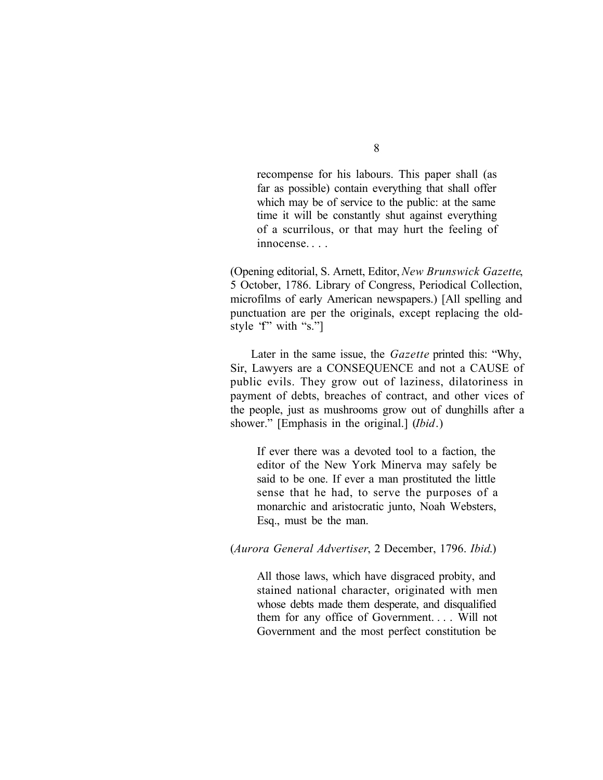recompense for his labours. This paper shall (as far as possible) contain everything that shall offer which may be of service to the public: at the same time it will be constantly shut against everything of a scurrilous, or that may hurt the feeling of innocense. . . .

(Opening editorial, S. Arnett, Editor, *New Brunswick Gazette*, 5 October, 1786. Library of Congress, Periodical Collection, microfilms of early American newspapers.) [All spelling and punctuation are per the originals, except replacing the oldstyle "f" with "s."]

Later in the same issue, the *Gazette* printed this: "Why, Sir, Lawyers are a CONSEQUENCE and not a CAUSE of public evils. They grow out of laziness, dilatoriness in payment of debts, breaches of contract, and other vices of the people, just as mushrooms grow out of dunghills after a shower." [Emphasis in the original.] (*Ibid*.)

If ever there was a devoted tool to a faction, the editor of the New York Minerva may safely be said to be one. If ever a man prostituted the little sense that he had, to serve the purposes of a monarchic and aristocratic junto, Noah Websters, Esq., must be the man.

(*Aurora General Advertiser*, 2 December, 1796. *Ibid*.)

All those laws, which have disgraced probity, and stained national character, originated with men whose debts made them desperate, and disqualified them for any office of Government. . . . Will not Government and the most perfect constitution be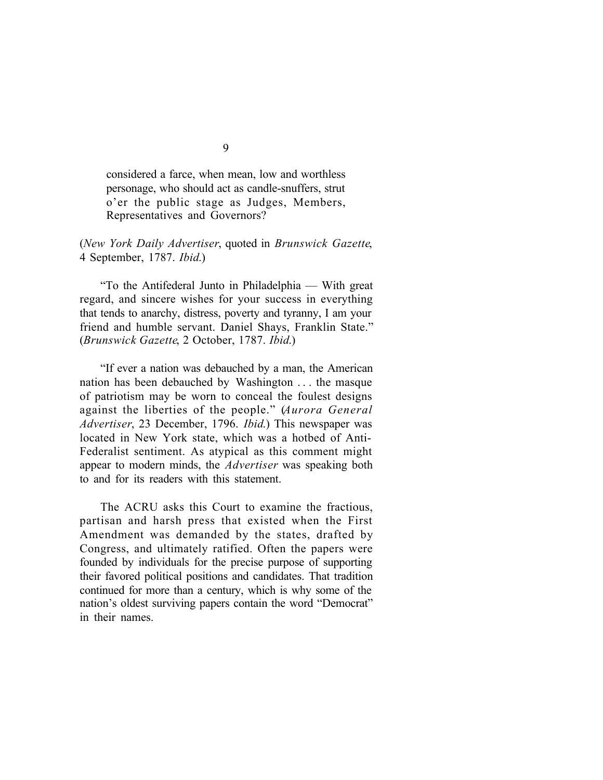considered a farce, when mean, low and worthless personage, who should act as candle-snuffers, strut o'er the public stage as Judges, Members, Representatives and Governors?

(*New York Daily Advertiser*, quoted in *Brunswick Gazette*, 4 September, 1787. *Ibid*.)

"To the Antifederal Junto in Philadelphia — With great regard, and sincere wishes for your success in everything that tends to anarchy, distress, poverty and tyranny, I am your friend and humble servant. Daniel Shays, Franklin State." (*Brunswick Gazette*, 2 October, 1787. *Ibid*.)

"If ever a nation was debauched by a man, the American nation has been debauched by Washington . . . the masque of patriotism may be worn to conceal the foulest designs against the liberties of the people." (*Aurora General Advertiser*, 23 December, 1796. *Ibid*.) This newspaper was located in New York state, which was a hotbed of Anti-Federalist sentiment. As atypical as this comment might appear to modern minds, the *Advertiser* was speaking both to and for its readers with this statement.

The ACRU asks this Court to examine the fractious, partisan and harsh press that existed when the First Amendment was demanded by the states, drafted by Congress, and ultimately ratified. Often the papers were founded by individuals for the precise purpose of supporting their favored political positions and candidates. That tradition continued for more than a century, which is why some of the nation's oldest surviving papers contain the word "Democrat" in their names.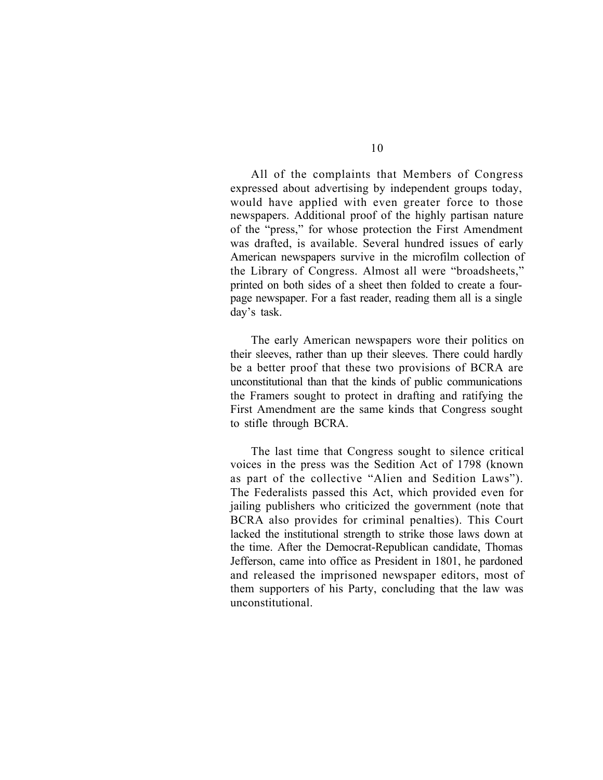All of the complaints that Members of Congress expressed about advertising by independent groups today, would have applied with even greater force to those newspapers. Additional proof of the highly partisan nature of the "press," for whose protection the First Amendment was drafted, is available. Several hundred issues of early American newspapers survive in the microfilm collection of the Library of Congress. Almost all were "broadsheets," printed on both sides of a sheet then folded to create a fourpage newspaper. For a fast reader, reading them all is a single day's task.

The early American newspapers wore their politics on their sleeves, rather than up their sleeves. There could hardly be a better proof that these two provisions of BCRA are unconstitutional than that the kinds of public communications the Framers sought to protect in drafting and ratifying the First Amendment are the same kinds that Congress sought to stifle through BCRA.

The last time that Congress sought to silence critical voices in the press was the Sedition Act of 1798 (known as part of the collective "Alien and Sedition Laws"). The Federalists passed this Act, which provided even for jailing publishers who criticized the government (note that BCRA also provides for criminal penalties). This Court lacked the institutional strength to strike those laws down at the time. After the Democrat-Republican candidate, Thomas Jefferson, came into office as President in 1801, he pardoned and released the imprisoned newspaper editors, most of them supporters of his Party, concluding that the law was unconstitutional.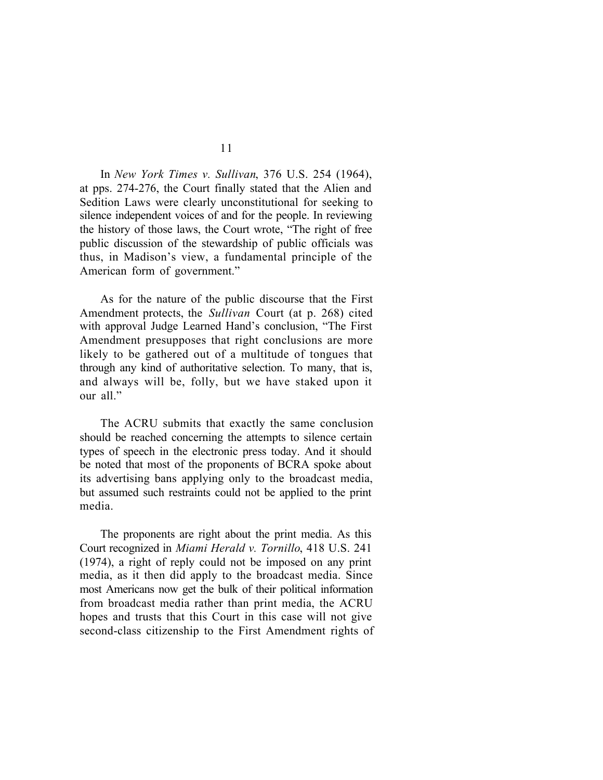In *New York Times v. Sullivan*, 376 U.S. 254 (1964), at pps. 274-276, the Court finally stated that the Alien and Sedition Laws were clearly unconstitutional for seeking to silence independent voices of and for the people. In reviewing the history of those laws, the Court wrote, "The right of free public discussion of the stewardship of public officials was thus, in Madison's view, a fundamental principle of the American form of government."

As for the nature of the public discourse that the First Amendment protects, the *Sullivan* Court (at p. 268) cited with approval Judge Learned Hand's conclusion, "The First Amendment presupposes that right conclusions are more likely to be gathered out of a multitude of tongues that through any kind of authoritative selection. To many, that is, and always will be, folly, but we have staked upon it our all."

The ACRU submits that exactly the same conclusion should be reached concerning the attempts to silence certain types of speech in the electronic press today. And it should be noted that most of the proponents of BCRA spoke about its advertising bans applying only to the broadcast media, but assumed such restraints could not be applied to the print media.

The proponents are right about the print media. As this Court recognized in *Miami Herald v. Tornillo*, 418 U.S. 241 (1974), a right of reply could not be imposed on any print media, as it then did apply to the broadcast media. Since most Americans now get the bulk of their political information from broadcast media rather than print media, the ACRU hopes and trusts that this Court in this case will not give second-class citizenship to the First Amendment rights of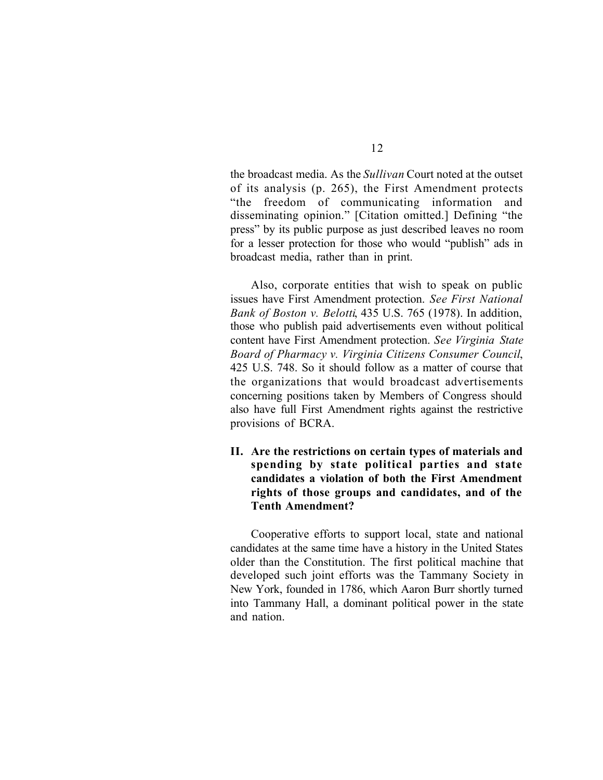the broadcast media. As the *Sullivan* Court noted at the outset of its analysis (p. 265), the First Amendment protects "the freedom of communicating information and disseminating opinion." [Citation omitted.] Defining "the press" by its public purpose as just described leaves no room for a lesser protection for those who would "publish" ads in broadcast media, rather than in print.

Also, corporate entities that wish to speak on public issues have First Amendment protection. *See First National Bank of Boston v. Belotti*, 435 U.S. 765 (1978). In addition, those who publish paid advertisements even without political content have First Amendment protection. *See Virginia State Board of Pharmacy v. Virginia Citizens Consumer Council*, 425 U.S. 748. So it should follow as a matter of course that the organizations that would broadcast advertisements concerning positions taken by Members of Congress should also have full First Amendment rights against the restrictive provisions of BCRA.

**II. Are the restrictions on certain types of materials and spending by state political parties and state candidates a violation of both the First Amendment rights of those groups and candidates, and of the Tenth Amendment?** 

Cooperative efforts to support local, state and national candidates at the same time have a history in the United States older than the Constitution. The first political machine that developed such joint efforts was the Tammany Society in New York, founded in 1786, which Aaron Burr shortly turned into Tammany Hall, a dominant political power in the state and nation.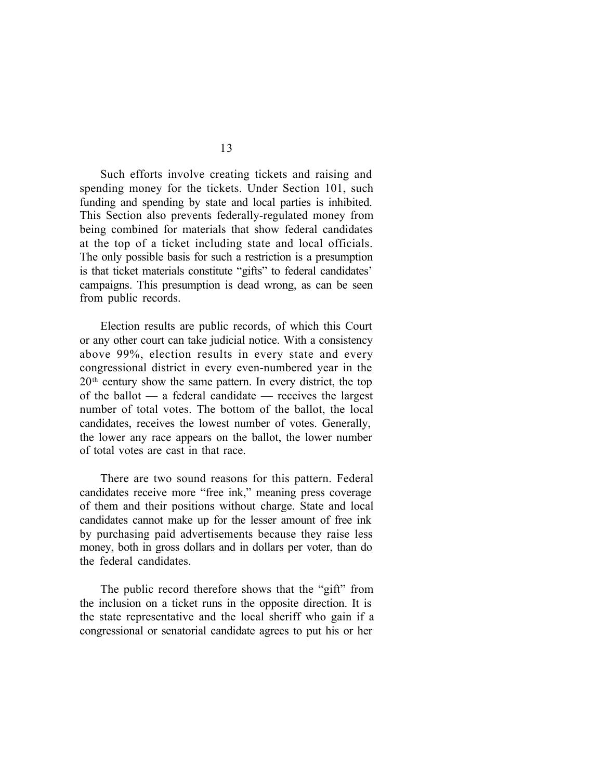Such efforts involve creating tickets and raising and spending money for the tickets. Under Section 101, such funding and spending by state and local parties is inhibited. This Section also prevents federally-regulated money from being combined for materials that show federal candidates at the top of a ticket including state and local officials. The only possible basis for such a restriction is a presumption is that ticket materials constitute "gifts" to federal candidates' campaigns. This presumption is dead wrong, as can be seen from public records.

Election results are public records, of which this Court or any other court can take judicial notice. With a consistency above 99%, election results in every state and every congressional district in every even-numbered year in the 20th century show the same pattern. In every district, the top of the ballot — a federal candidate — receives the largest number of total votes. The bottom of the ballot, the local candidates, receives the lowest number of votes. Generally, the lower any race appears on the ballot, the lower number of total votes are cast in that race.

There are two sound reasons for this pattern. Federal candidates receive more "free ink," meaning press coverage of them and their positions without charge. State and local candidates cannot make up for the lesser amount of free ink by purchasing paid advertisements because they raise less money, both in gross dollars and in dollars per voter, than do the federal candidates.

The public record therefore shows that the "gift" from the inclusion on a ticket runs in the opposite direction. It is the state representative and the local sheriff who gain if a congressional or senatorial candidate agrees to put his or her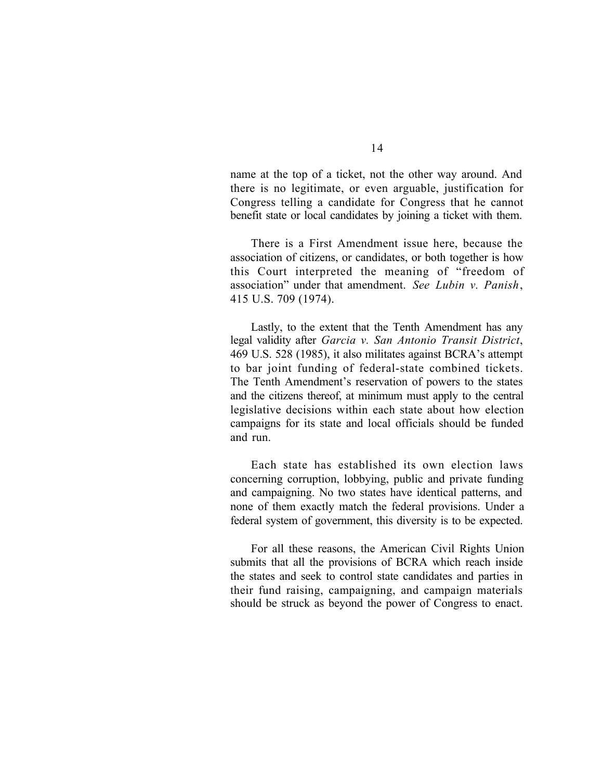name at the top of a ticket, not the other way around. And there is no legitimate, or even arguable, justification for Congress telling a candidate for Congress that he cannot benefit state or local candidates by joining a ticket with them.

There is a First Amendment issue here, because the association of citizens, or candidates, or both together is how this Court interpreted the meaning of "freedom of association" under that amendment. *See Lubin v. Panish* , 415 U.S. 709 (1974).

Lastly, to the extent that the Tenth Amendment has any legal validity after *Garcia v. San Antonio Transit District*, 469 U.S. 528 (1985), it also militates against BCRA's attempt to bar joint funding of federal-state combined tickets. The Tenth Amendment's reservation of powers to the states and the citizens thereof, at minimum must apply to the central legislative decisions within each state about how election campaigns for its state and local officials should be funded and run.

Each state has established its own election laws concerning corruption, lobbying, public and private funding and campaigning. No two states have identical patterns, and none of them exactly match the federal provisions. Under a federal system of government, this diversity is to be expected.

For all these reasons, the American Civil Rights Union submits that all the provisions of BCRA which reach inside the states and seek to control state candidates and parties in their fund raising, campaigning, and campaign materials should be struck as beyond the power of Congress to enact.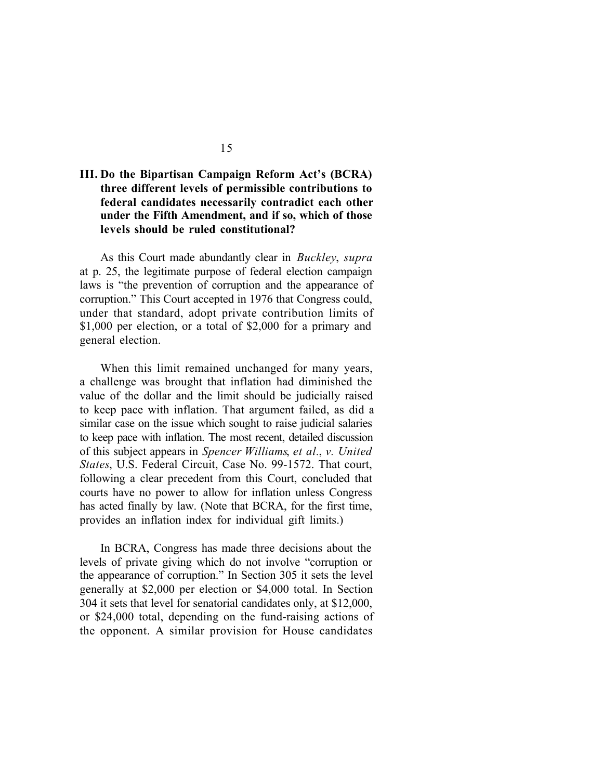## **III. Do the Bipartisan Campaign Reform Act's (BCRA) three different levels of permissible contributions to federal candidates necessarily contradict each other under the Fifth Amendment, and if so, which of those levels should be ruled constitutional?**

As this Court made abundantly clear in *Buckley*, *supra*  at p. 25, the legitimate purpose of federal election campaign laws is "the prevention of corruption and the appearance of corruption." This Court accepted in 1976 that Congress could, under that standard, adopt private contribution limits of \$1,000 per election, or a total of \$2,000 for a primary and general election.

When this limit remained unchanged for many years, a challenge was brought that inflation had diminished the value of the dollar and the limit should be judicially raised to keep pace with inflation. That argument failed, as did a similar case on the issue which sought to raise judicial salaries to keep pace with inflation. The most recent, detailed discussion of this subject appears in *Spencer Williams*, *et al.*, *v. United States*, U.S. Federal Circuit, Case No. 99-1572. That court, following a clear precedent from this Court, concluded that courts have no power to allow for inflation unless Congress has acted finally by law. (Note that BCRA, for the first time, provides an inflation index for individual gift limits.)

In BCRA, Congress has made three decisions about the levels of private giving which do not involve "corruption or the appearance of corruption." In Section 305 it sets the level generally at \$2,000 per election or \$4,000 total. In Section 304 it sets that level for senatorial candidates only, at \$12,000, or \$24,000 total, depending on the fund-raising actions of the opponent. A similar provision for House candidates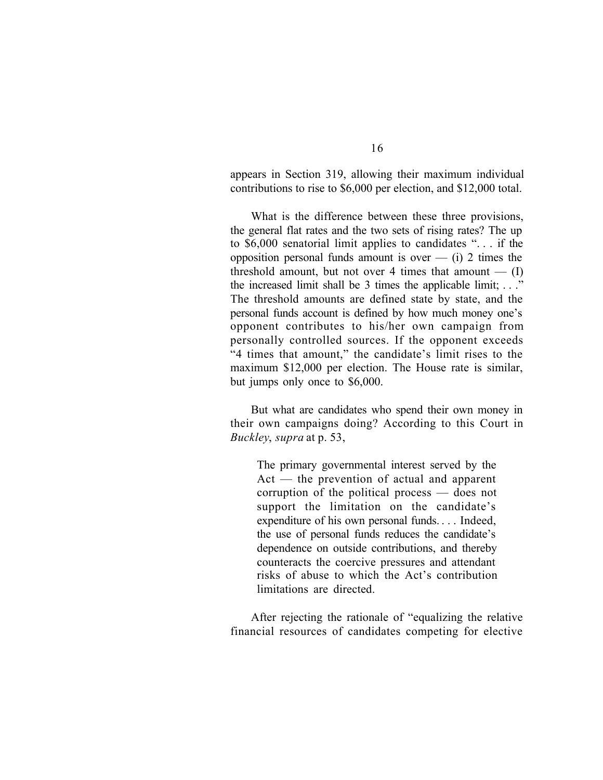appears in Section 319, allowing their maximum individual contributions to rise to \$6,000 per election, and \$12,000 total.

What is the difference between these three provisions, the general flat rates and the two sets of rising rates? The up to \$6,000 senatorial limit applies to candidates ". . . if the opposition personal funds amount is over  $-$  (i) 2 times the threshold amount, but not over 4 times that amount  $-$  (I) the increased limit shall be 3 times the applicable limit; . . ." The threshold amounts are defined state by state, and the personal funds account is defined by how much money one's opponent contributes to his/her own campaign from personally controlled sources. If the opponent exceeds "4 times that amount," the candidate's limit rises to the maximum \$12,000 per election. The House rate is similar, but jumps only once to \$6,000.

But what are candidates who spend their own money in their own campaigns doing? According to this Court in *Buckley*, *supra* at p. 53,

The primary governmental interest served by the Act — the prevention of actual and apparent corruption of the political process — does not support the limitation on the candidate's expenditure of his own personal funds. . . . Indeed, the use of personal funds reduces the candidate's dependence on outside contributions, and thereby counteracts the coercive pressures and attendant risks of abuse to which the Act's contribution limitations are directed.

After rejecting the rationale of "equalizing the relative financial resources of candidates competing for elective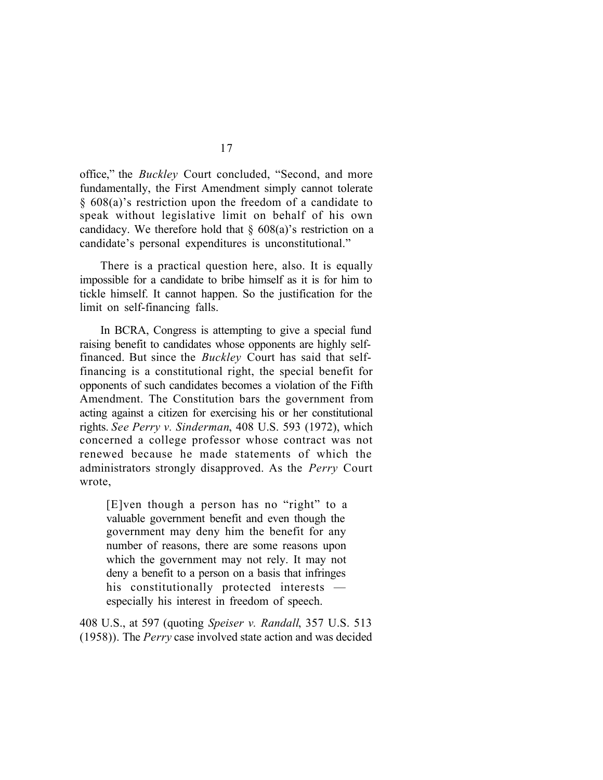office," the *Buckley* Court concluded, "Second, and more fundamentally, the First Amendment simply cannot tolerate § 608(a)'s restriction upon the freedom of a candidate to speak without legislative limit on behalf of his own candidacy. We therefore hold that  $\S$  608(a)'s restriction on a candidate's personal expenditures is unconstitutional."

There is a practical question here, also. It is equally impossible for a candidate to bribe himself as it is for him to tickle himself. It cannot happen. So the justification for the limit on self-financing falls.

In BCRA, Congress is attempting to give a special fund raising benefit to candidates whose opponents are highly selffinanced. But since the *Buckley* Court has said that selffinancing is a constitutional right, the special benefit for opponents of such candidates becomes a violation of the Fifth Amendment. The Constitution bars the government from acting against a citizen for exercising his or her constitutional rights. *See Perry v. Sinderman*, 408 U.S. 593 (1972), which concerned a college professor whose contract was not renewed because he made statements of which the administrators strongly disapproved. As the *Perry* Court wrote,

[E]ven though a person has no "right" to a valuable government benefit and even though the government may deny him the benefit for any number of reasons, there are some reasons upon which the government may not rely. It may not deny a benefit to a person on a basis that infringes his constitutionally protected interests especially his interest in freedom of speech.

408 U.S., at 597 (quoting *Speiser v. Randall*, 357 U.S. 513 (1958)). The *Perry* case involved state action and was decided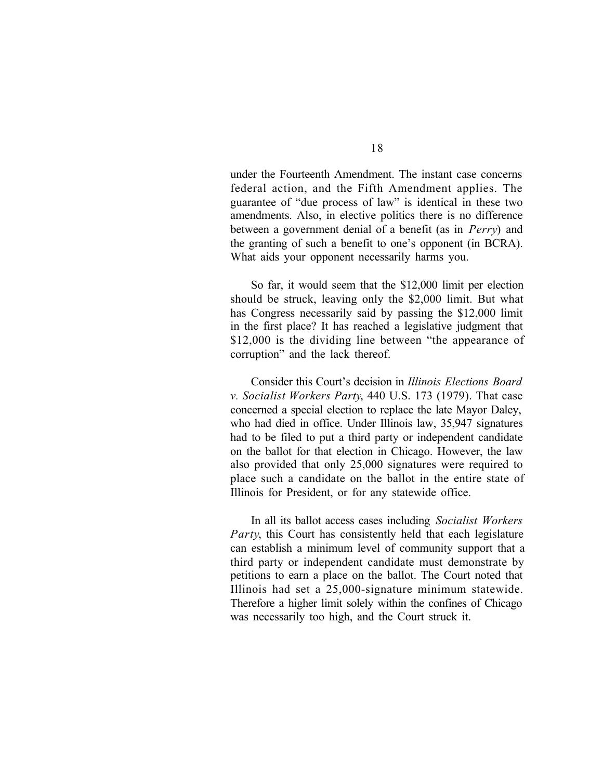under the Fourteenth Amendment. The instant case concerns federal action, and the Fifth Amendment applies. The guarantee of "due process of law" is identical in these two amendments. Also, in elective politics there is no difference between a government denial of a benefit (as in *Perry*) and the granting of such a benefit to one's opponent (in BCRA). What aids your opponent necessarily harms you.

So far, it would seem that the \$12,000 limit per election should be struck, leaving only the \$2,000 limit. But what has Congress necessarily said by passing the \$12,000 limit in the first place? It has reached a legislative judgment that \$12,000 is the dividing line between "the appearance of corruption" and the lack thereof.

Consider this Court's decision in *Illinois Elections Board v. Socialist Workers Party*, 440 U.S. 173 (1979). That case concerned a special election to replace the late Mayor Daley, who had died in office. Under Illinois law, 35,947 signatures had to be filed to put a third party or independent candidate on the ballot for that election in Chicago. However, the law also provided that only 25,000 signatures were required to place such a candidate on the ballot in the entire state of Illinois for President, or for any statewide office.

In all its ballot access cases including *Socialist Workers Party*, this Court has consistently held that each legislature can establish a minimum level of community support that a third party or independent candidate must demonstrate by petitions to earn a place on the ballot. The Court noted that Illinois had set a 25,000-signature minimum statewide. Therefore a higher limit solely within the confines of Chicago was necessarily too high, and the Court struck it.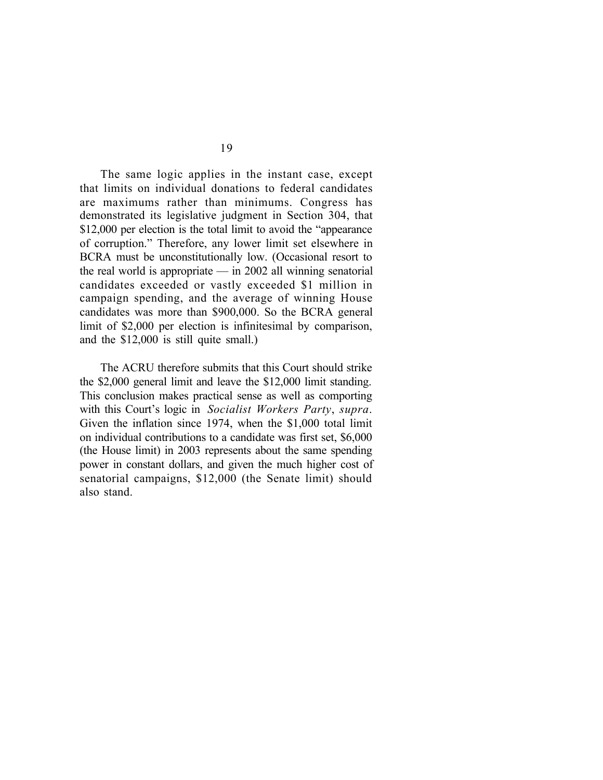The same logic applies in the instant case, except that limits on individual donations to federal candidates are maximums rather than minimums. Congress has demonstrated its legislative judgment in Section 304, that \$12,000 per election is the total limit to avoid the "appearance of corruption." Therefore, any lower limit set elsewhere in BCRA must be unconstitutionally low. (Occasional resort to the real world is appropriate — in 2002 all winning senatorial candidates exceeded or vastly exceeded \$1 million in campaign spending, and the average of winning House candidates was more than \$900,000. So the BCRA general limit of \$2,000 per election is infinitesimal by comparison, and the \$12,000 is still quite small.)

The ACRU therefore submits that this Court should strike the \$2,000 general limit and leave the \$12,000 limit standing. This conclusion makes practical sense as well as comporting with this Court's logic in *Socialist Workers Party*, *supra*. Given the inflation since 1974, when the \$1,000 total limit on individual contributions to a candidate was first set, \$6,000 (the House limit) in 2003 represents about the same spending power in constant dollars, and given the much higher cost of senatorial campaigns, \$12,000 (the Senate limit) should also stand.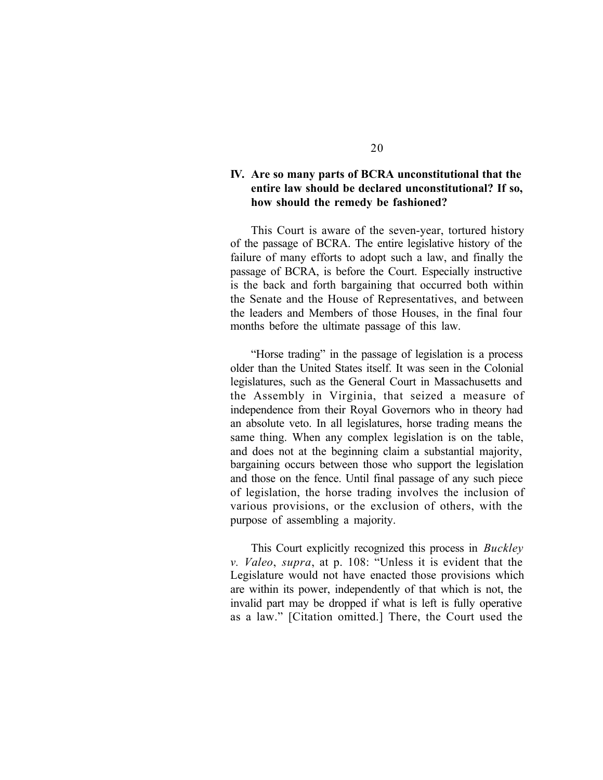### **IV. Are so many parts of BCRA unconstitutional that the entire law should be declared unconstitutional? If so, how should the remedy be fashioned?**

This Court is aware of the seven-year, tortured history of the passage of BCRA. The entire legislative history of the failure of many efforts to adopt such a law, and finally the passage of BCRA, is before the Court. Especially instructive is the back and forth bargaining that occurred both within the Senate and the House of Representatives, and between the leaders and Members of those Houses, in the final four months before the ultimate passage of this law.

"Horse trading" in the passage of legislation is a process older than the United States itself. It was seen in the Colonial legislatures, such as the General Court in Massachusetts and the Assembly in Virginia, that seized a measure of independence from their Royal Governors who in theory had an absolute veto. In all legislatures, horse trading means the same thing. When any complex legislation is on the table, and does not at the beginning claim a substantial majority, bargaining occurs between those who support the legislation and those on the fence. Until final passage of any such piece of legislation, the horse trading involves the inclusion of various provisions, or the exclusion of others, with the purpose of assembling a majority.

This Court explicitly recognized this process in *Buckley v. Valeo*, *supra*, at p. 108: "Unless it is evident that the Legislature would not have enacted those provisions which are within its power, independently of that which is not, the invalid part may be dropped if what is left is fully operative as a law." [Citation omitted.] There, the Court used the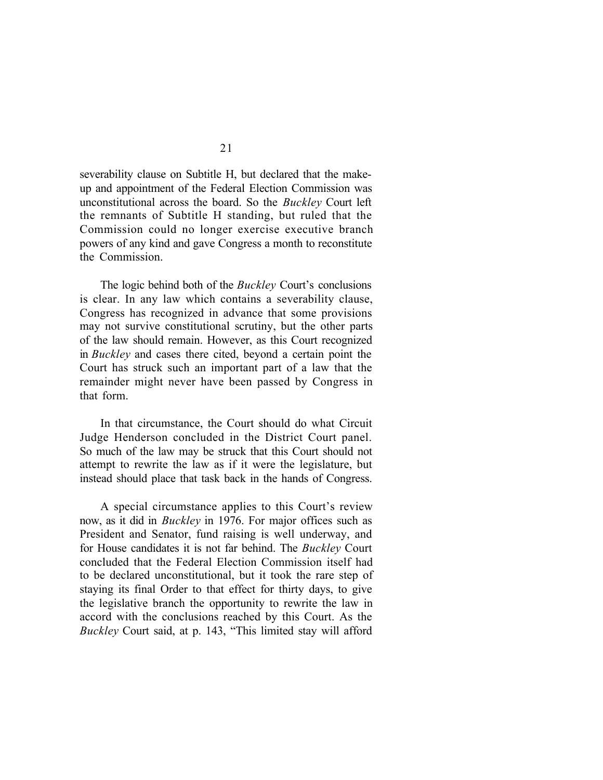severability clause on Subtitle H, but declared that the makeup and appointment of the Federal Election Commission was unconstitutional across the board. So the *Buckley* Court left the remnants of Subtitle H standing, but ruled that the Commission could no longer exercise executive branch powers of any kind and gave Congress a month to reconstitute the Commission.

The logic behind both of the *Buckley* Court's conclusions is clear. In any law which contains a severability clause, Congress has recognized in advance that some provisions may not survive constitutional scrutiny, but the other parts of the law should remain. However, as this Court recognized in *Buckley* and cases there cited, beyond a certain point the Court has struck such an important part of a law that the remainder might never have been passed by Congress in that form.

In that circumstance, the Court should do what Circuit Judge Henderson concluded in the District Court panel. So much of the law may be struck that this Court should not attempt to rewrite the law as if it were the legislature, but instead should place that task back in the hands of Congress.

A special circumstance applies to this Court's review now, as it did in *Buckley* in 1976. For major offices such as President and Senator, fund raising is well underway, and for House candidates it is not far behind. The *Buckley* Court concluded that the Federal Election Commission itself had to be declared unconstitutional, but it took the rare step of staying its final Order to that effect for thirty days, to give the legislative branch the opportunity to rewrite the law in accord with the conclusions reached by this Court. As the *Buckley* Court said, at p. 143, "This limited stay will afford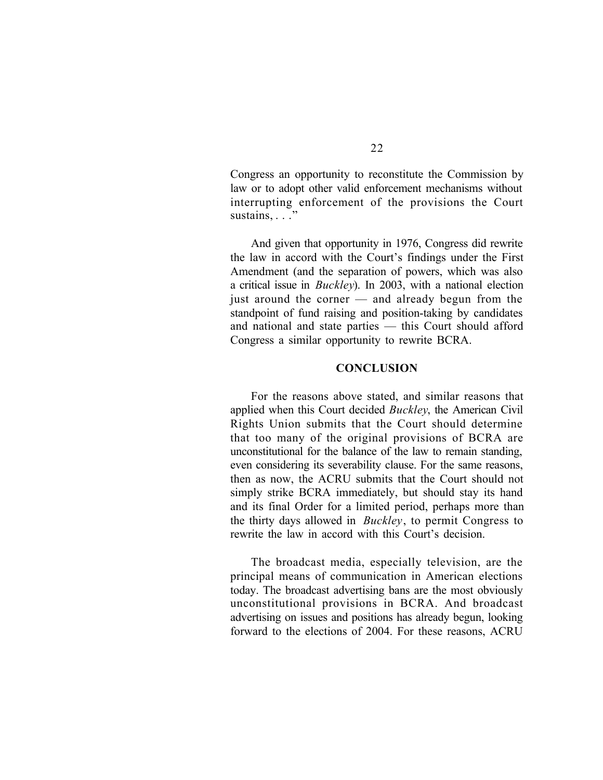Congress an opportunity to reconstitute the Commission by law or to adopt other valid enforcement mechanisms without interrupting enforcement of the provisions the Court sustains, . . ."

And given that opportunity in 1976, Congress did rewrite the law in accord with the Court's findings under the First Amendment (and the separation of powers, which was also a critical issue in *Buckley*). In 2003, with a national election just around the corner — and already begun from the standpoint of fund raising and position-taking by candidates and national and state parties — this Court should afford Congress a similar opportunity to rewrite BCRA.

#### **CONCLUSION**

For the reasons above stated, and similar reasons that applied when this Court decided *Buckley*, the American Civil Rights Union submits that the Court should determine that too many of the original provisions of BCRA are unconstitutional for the balance of the law to remain standing, even considering its severability clause. For the same reasons, then as now, the ACRU submits that the Court should not simply strike BCRA immediately, but should stay its hand and its final Order for a limited period, perhaps more than the thirty days allowed in *Buckley*, to permit Congress to rewrite the law in accord with this Court's decision.

The broadcast media, especially television, are the principal means of communication in American elections today. The broadcast advertising bans are the most obviously unconstitutional provisions in BCRA. And broadcast advertising on issues and positions has already begun, looking forward to the elections of 2004. For these reasons, ACRU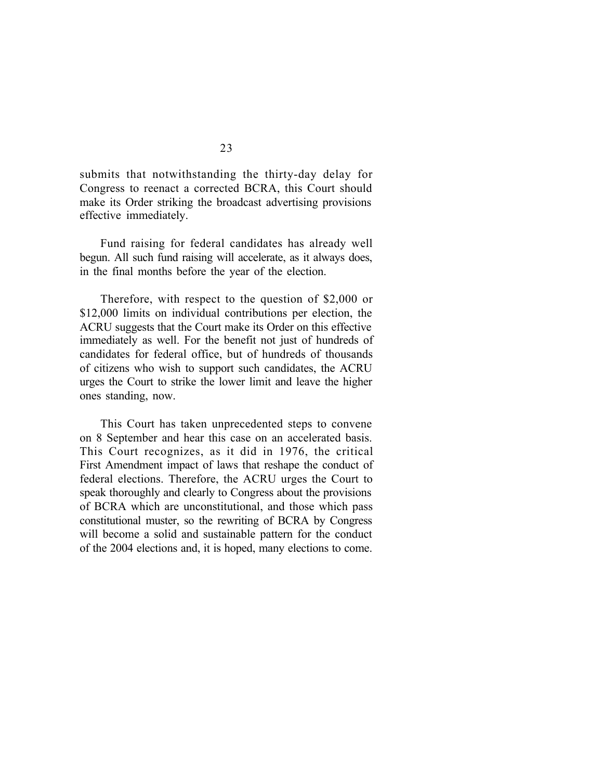submits that notwithstanding the thirty-day delay for Congress to reenact a corrected BCRA, this Court should make its Order striking the broadcast advertising provisions effective immediately.

Fund raising for federal candidates has already well begun. All such fund raising will accelerate, as it always does, in the final months before the year of the election.

Therefore, with respect to the question of \$2,000 or \$12,000 limits on individual contributions per election, the ACRU suggests that the Court make its Order on this effective immediately as well. For the benefit not just of hundreds of candidates for federal office, but of hundreds of thousands of citizens who wish to support such candidates, the ACRU urges the Court to strike the lower limit and leave the higher ones standing, now.

This Court has taken unprecedented steps to convene on 8 September and hear this case on an accelerated basis. This Court recognizes, as it did in 1976, the critical First Amendment impact of laws that reshape the conduct of federal elections. Therefore, the ACRU urges the Court to speak thoroughly and clearly to Congress about the provisions of BCRA which are unconstitutional, and those which pass constitutional muster, so the rewriting of BCRA by Congress will become a solid and sustainable pattern for the conduct of the 2004 elections and, it is hoped, many elections to come.